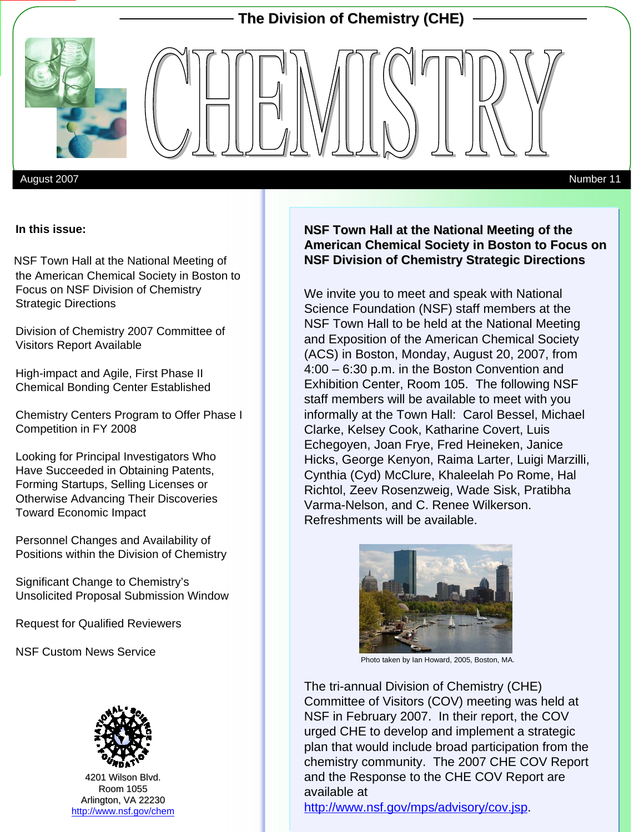

August 2007 Number 11

#### **In this issue:**

the American Chemical Society in Boston to Focus on NSF Division of Chemistry Strategic Directions NSF Town Hall at the National Meeting of

Division of Chemistry 2007 Committee of Visitors Report Available

High-impact and Agile, First Phase II Chemical Bonding Center Established

Chemistry Centers Program to Offer Phase I Competition in FY 2008

Looking for Principal Investigators Who Have Succeeded in Obtaining Patents, Forming Startups, Selling Licenses or Otherwise Advancing Their Discoveries Toward Economic Impact

Personnel Changes and Availability of Positions within the Division of Chemistry

Significant Change to Chemistry's Unsolicited Proposal Submission Window

Request for Qualified Reviewers

NSF Custom News Service



4201 Wilson Blvd. Room 1055 Arlington, VA 22230 <http://www.nsf.gov/chem>

#### **NSF Town Hall at the National Meeting of the American Chemical Society in Boston to Focus on NSF Division of Chemistry Strategic Directions**

We invite you to meet and speak with National Science Foundation (NSF) staff members at the NSF Town Hall to be held at the National Meeting and Exposition of the American Chemical Society (ACS) in Boston, Monday, August 20, 2007, from 4:00 – 6:30 p.m. in the Boston Convention and Exhibition Center, Room 105. The following NSF staff members will be available to meet with you informally at the Town Hall: Carol Bessel, Michael Clarke, Kelsey Cook, Katharine Covert, Luis Echegoyen, Joan Frye, Fred Heineken, Janice Hicks, George Kenyon, Raima Larter, Luigi Marzilli, Cynthia (Cyd) McClure, Khaleelah Po Rome, Hal Richtol, Zeev Rosenzweig, Wade Sisk, Pratibha Varma-Nelson, and C. Renee Wilkerson. Refreshments will be available.



Photo taken by Ian Howard, 2005, Boston, MA.

The tri-annual Division of Chemistry (CHE) Committee of Visitors (COV) meeting was held at NSF in February 2007. In their report, the COV urged CHE to develop and implement a strategic plan that would include broad participation from the chemistry community. The 2007 CHE COV Report and the Response to the CHE COV Report are available at

[http://www.nsf.gov/mps/advisory/cov.jsp.](http://www.nsf.gov/mps/advisory/cov.jsp)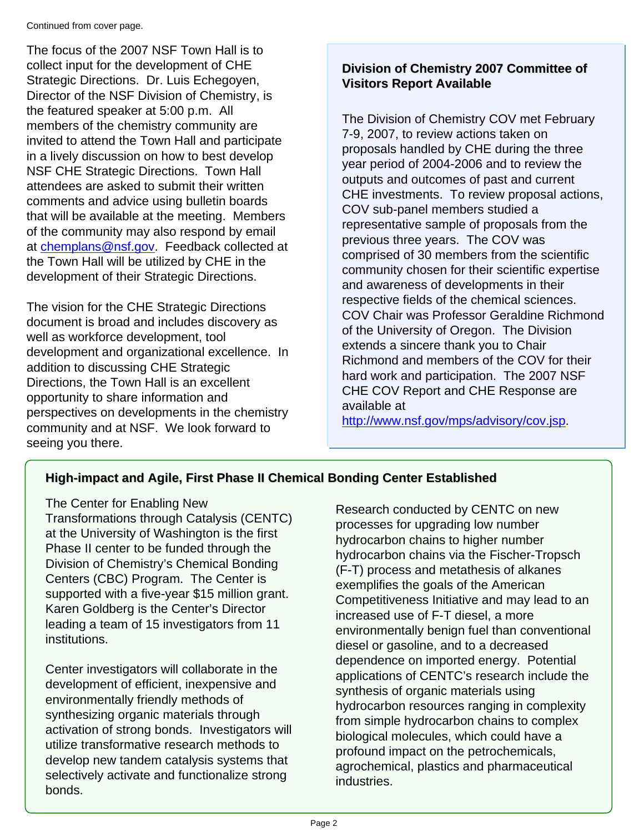Continued from cover page.

The focus of the 2007 NSF Town Hall is to collect input for the development of CHE Strategic Directions. Dr. Luis Echegoyen, Director of the NSF Division of Chemistry, is the featured speaker at 5:00 p.m. All members of the chemistry community are invited to attend the Town Hall and participate in a lively discussion on how to best develop NSF CHE Strategic Directions. Town Hall attendees are asked to submit their written comments and advice using bulletin boards that will be available at the meeting. Members of the community may also respond by email at [chemplans@nsf.gov](mailto:chemplans@nsf.gov). Feedback collected at the Town Hall will be utilized by CHE in the development of their Strategic Directions.

The vision for the CHE Strategic Directions document is broad and includes discovery as well as workforce development, tool development and organizational excellence. In addition to discussing CHE Strategic Directions, the Town Hall is an excellent opportunity to share information and perspectives on developments in the chemistry community and at NSF. We look forward to seeing you there.

# **Division of Chemistry 2007 Committee of Visitors Report Available**

The Division of Chemistry COV met February 7-9, 2007, to review actions taken on proposals handled by CHE during the three year period of 2004-2006 and to review the outputs and outcomes of past and current CHE investments. To review proposal actions, COV sub-panel members studied a representative sample of proposals from the previous three years. The COV was comprised of 30 members from the scientific community chosen for their scientific expertise and awareness of developments in their respective fields of the chemical sciences. COV Chair was Professor Geraldine Richmond of the University of Oregon. The Division extends a sincere thank you to Chair Richmond and members of the COV for their hard work and participation. The 2007 NSF CHE COV Report and CHE Response are available at

[http://www.nsf.gov/mps/advisory/cov.jsp.](http://www.nsf.gov/mps/advisory/cov.jsp)

# **High-impact and Agile, First Phase II Chemical Bonding Center Established**

The Center for Enabling New Transformations through Catalysis (CENTC) at the University of Washington is the first Phase II center to be funded through the Division of Chemistry's Chemical Bonding Centers (CBC) Program. The Center is supported with a five-year \$15 million grant. Karen Goldberg is the Center's Director leading a team of 15 investigators from 11 institutions.

Center investigators will collaborate in the development of efficient, inexpensive and environmentally friendly methods of synthesizing organic materials through activation of strong bonds. Investigators will utilize transformative research methods to develop new tandem catalysis systems that selectively activate and functionalize strong bonds.

Research conducted by CENTC on new processes for upgrading low number hydrocarbon chains to higher number hydrocarbon chains via the Fischer-Tropsch (F-T) process and metathesis of alkanes exemplifies the goals of the American Competitiveness Initiative and may lead to an increased use of F-T diesel, a more environmentally benign fuel than conventional diesel or gasoline, and to a decreased dependence on imported energy. Potential applications of CENTC's research include the synthesis of organic materials using hydrocarbon resources ranging in complexity from simple hydrocarbon chains to complex biological molecules, which could have a profound impact on the petrochemicals, agrochemical, plastics and pharmaceutical industries.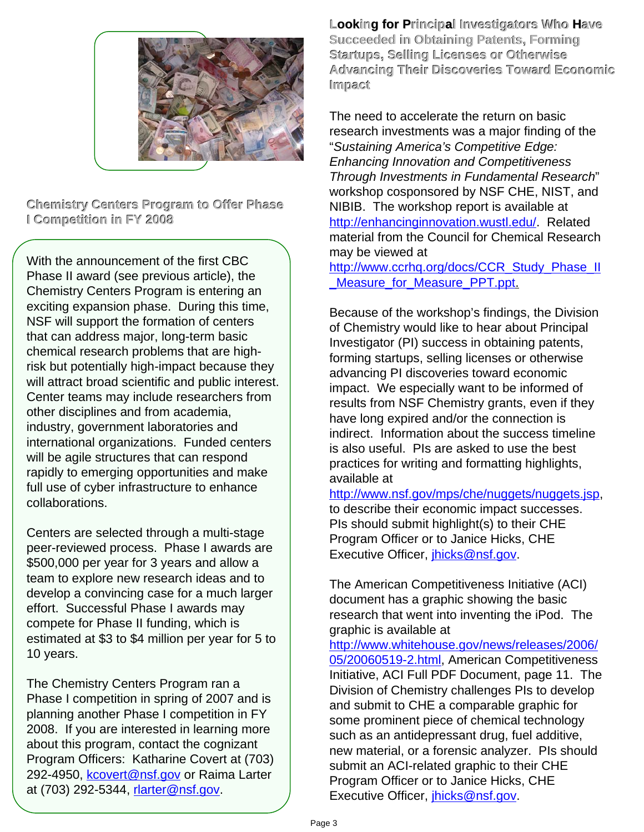

**Chemistry Centers Program to Offer Phase NIBIB. The workshop report is available at <br><b>Competition in FY 2008 Canadia Competity** *Center Center Into Venhancing ovation wustledu/* Rela

With the announcement of the first CBC  $\overrightarrow{a}$  may be viewed at Phase II award (see previous article), the Chemistry Centers Program is entering an exciting expansion phase. During this time, NSF will support the formation of centers that can address major, long-term basic chemical research problems that are highrisk but potentially high-impact because they will attract broad scientific and public interest. Center teams may include researchers from other disciplines and from academia, industry, government laboratories and international organizations. Funded centers will be agile structures that can respond rapidly to emerging opportunities and make full use of cyber infrastructure to enhance collaborations.

Centers are selected through a multi-stage peer-reviewed process. Phase I awards are \$500,000 per year for 3 years and allow a team to explore new research ideas and to develop a convincing case for a much larger effort. Successful Phase I awards may compete for Phase II funding, which is estimated at \$3 to \$4 million per year for 5 to 10 years.

The Chemistry Centers Program ran a Phase I competition in spring of 2007 and is planning another Phase I competition in FY 2008. If you are interested in learning more about this program, contact the cognizant Program Officers: Katharine Covert at (703) 292-4950, [kcovert@nsf.gov](mailto:kcovert@nsf.gov) or Raima Larter at (703) 292-5344, [rlarter@nsf.gov](mailto:rlarter@nsf.gov).

**Looking for Principal Investigators Who Have Succeeded in Obtaining Patents, Forming Startups, Selling Licenses or Otherwise Advancing Their Discoveries Toward Economic Impact**

The need to accelerate the return on basic research investments was a major finding of the "*Sustaining America's Competitive Edge: Enhancing Innovation and Competitiveness Through Investments in Fundamental Research*" workshop cosponsored by NSF CHE, NIST, and <http://enhancinginnovation.wustl.edu/>. Related material from the Council for Chemical Research

[http://www.ccrhq.org/docs/CCR\\_Study\\_Phase\\_II](http://www.ccrhq.org/docs/CCR_Study_Phase_II_Measure_for_Measure_PPT.ppt) Measure for Measure PPT.ppt.

Because of the workshop's findings, the Division of Chemistry would like to hear about Principal Investigator (PI) success in obtaining patents, forming startups, selling licenses or otherwise advancing PI discoveries toward economic impact. We especially want to be informed of results from NSF Chemistry grants, even if they have long expired and/or the connection is indirect. Information about the success timeline is also useful. PIs are asked to use the best practices for writing and formatting highlights, available at

<http://www.nsf.gov/mps/che/nuggets/nuggets.jsp>, to describe their economic impact successes. PIs should submit highlight(s) to their CHE Program Officer or to Janice Hicks, CHE Executive Officer, *[jhicks@nsf.gov](mailto:jhicks@nsf.gov).* 

The American Competitiveness Initiative (ACI) document has a graphic showing the basic research that went into inventing the iPod. The graphic is available at

[http://www.whitehouse.gov/news/releases/2006/](http://www.whitehouse.gov/news/releases/2006/05/20060519-2.html) [05/20060519-2.html,](http://www.whitehouse.gov/news/releases/2006/05/20060519-2.html) American Competitiveness Initiative, ACI Full PDF Document, page 11. The Division of Chemistry challenges PIs to develop and submit to CHE a comparable graphic for some prominent piece of chemical technology such as an antidepressant drug, fuel additive, new material, or a forensic analyzer. PIs should submit an ACI-related graphic to their CHE Program Officer or to Janice Hicks, CHE Executive Officer, *jhicks@nsf.gov.*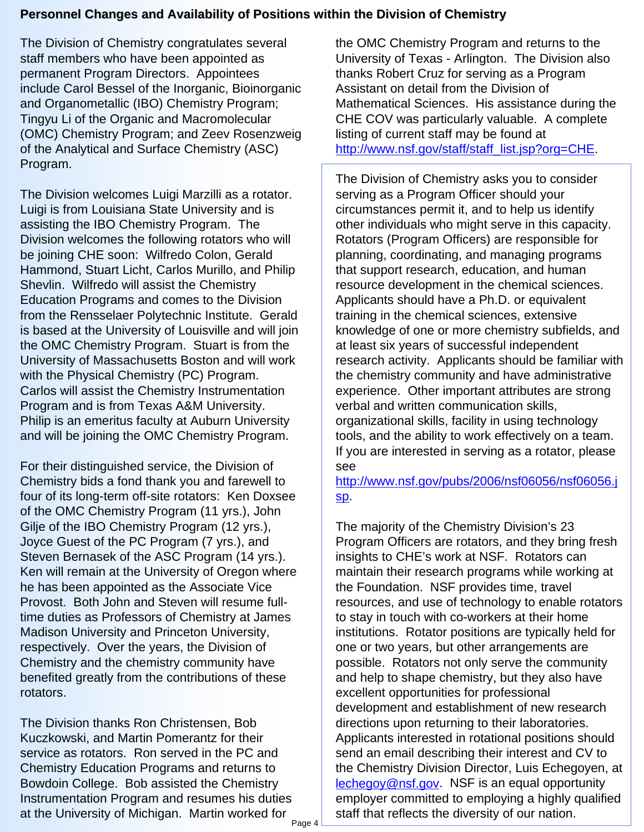### **Personnel Changes and Availability of Positions within the Division of Chemistry**

The Division of Chemistry congratulates several staff members who have been appointed as permanent Program Directors. Appointees include Carol Bessel of the Inorganic, Bioinorganic and Organometallic (IBO) Chemistry Program; Tingyu Li of the Organic and Macromolecular (OMC) Chemistry Program; and Zeev Rosenzweig of the Analytical and Surface Chemistry (ASC) Program.

The Division welcomes Luigi Marzilli as a rotator. Luigi is from Louisiana State University and is assisting the IBO Chemistry Program. The Division welcomes the following rotators who will be joining CHE soon: Wilfredo Colon, Gerald Hammond, Stuart Licht, Carlos Murillo, and Philip Shevlin. Wilfredo will assist the Chemistry Education Programs and comes to the Division from the Rensselaer Polytechnic Institute. Gerald is based at the University of Louisville and will join the OMC Chemistry Program. Stuart is from the University of Massachusetts Boston and will work with the Physical Chemistry (PC) Program. Carlos will assist the Chemistry Instrumentation Program and is from Texas A&M University. Philip is an emeritus faculty at Auburn University and will be joining the OMC Chemistry Program.

For their distinguished service, the Division of Chemistry bids a fond thank you and farewell to four of its long-term off-site rotators: Ken Doxsee of the OMC Chemistry Program (11 yrs.), John Gilje of the IBO Chemistry Program (12 yrs.), Joyce Guest of the PC Program (7 yrs.), and Steven Bernasek of the ASC Program (14 yrs.). Ken will remain at the University of Oregon where he has been appointed as the Associate Vice Provost. Both John and Steven will resume fulltime duties as Professors of Chemistry at James Madison University and Princeton University, respectively. Over the years, the Division of Chemistry and the chemistry community have benefited greatly from the contributions of these rotators.

The Division thanks Ron Christensen, Bob Kuczkowski, and Martin Pomerantz for their service as rotators. Ron served in the PC and Chemistry Education Programs and returns to Bowdoin College. Bob assisted the Chemistry Instrumentation Program and resumes his duties at the University of Michigan. Martin worked for

the OMC Chemistry Program and returns to the University of Texas - Arlington. The Division also thanks Robert Cruz for serving as a Program Assistant on detail from the Division of Mathematical Sciences. His assistance during the CHE COV was particularly valuable. A complete listing of current staff may be found at [http://www.nsf.gov/staff/staff\\_list.jsp?org=CHE.](http://www.nsf.gov/staff/staff_list.jsp?org=CHE)

The Division of Chemistry asks you to consider serving as a Program Officer should your circumstances permit it, and to help us identify other individuals who might serve in this capacity. Rotators (Program Officers) are responsible for planning, coordinating, and managing programs that support research, education, and human resource development in the chemical sciences. Applicants should have a Ph.D. or equivalent training in the chemical sciences, extensive knowledge of one or more chemistry subfields, and at least six years of successful independent research activity. Applicants should be familiar with the chemistry community and have administrative experience. Other important attributes are strong verbal and written communication skills, organizational skills, facility in using technology tools, and the ability to work effectively on a team. If you are interested in serving as a rotator, please see

[http://www.nsf.gov/pubs/2006/nsf06056/nsf06056.j](http://www.nsf.gov/pubs/2006/nsf06056/nsf06056.jsp) [sp](http://www.nsf.gov/pubs/2006/nsf06056/nsf06056.jsp).

The majority of the Chemistry Division's 23 Program Officers are rotators, and they bring fresh insights to CHE's work at NSF. Rotators can maintain their research programs while working at the Foundation. NSF provides time, travel resources, and use of technology to enable rotators to stay in touch with co-workers at their home institutions. Rotator positions are typically held for one or two years, but other arrangements are possible. Rotators not only serve the community and help to shape chemistry, but they also have excellent opportunities for professional development and establishment of new research directions upon returning to their laboratories. Applicants interested in rotational positions should send an email describing their interest and CV to the Chemistry Division Director, Luis Echegoyen, at [lechegoy@nsf.gov.](mailto:lechegoy@nsf.gov) NSF is an equal opportunity employer committed to employing a highly qualified **staff that reflects the diversity of our nation.**